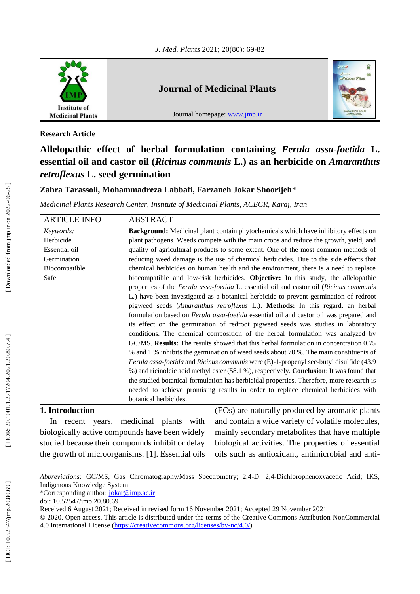

## **Journal of Medicinal Plants**

Journal homepage: [www.jmp.ir](http://www.jmp.ir/)



**Research Article**

# **Allelopathic effect of herbal formulation containing** *Ferula assa -foetida* **L. essential oil and castor oil (***Ricinus communis* **L.) as an herbicide on** *Amaranthus retroflexus* **L. seed germination**

## **Zahra Tarassoli, Mohammadreza Labbafi, Farzaneh Jokar Shoorijeh** \*

*Medicinal Plants Research Center, Institute of Medicinal Plants, ACECR, Karaj, Iran*

| <b>ARTICLE INFO</b> | ABSTRACT                                                                                              |  |  |  |
|---------------------|-------------------------------------------------------------------------------------------------------|--|--|--|
| Keywords:           | Background: Medicinal plant contain phytochemicals which have inhibitory effects on                   |  |  |  |
| Herbicide           | plant pathogens. Weeds compete with the main crops and reduce the growth, yield, and                  |  |  |  |
| Essential oil       | quality of agricultural products to some extent. One of the most common methods of                    |  |  |  |
| Germination         | reducing weed damage is the use of chemical herbicides. Due to the side effects that                  |  |  |  |
| Biocompatible       | chemical herbicides on human health and the environment, there is a need to replace                   |  |  |  |
| Safe                | biocompatible and low-risk herbicides. Objective: In this study, the allelopathic                     |  |  |  |
|                     | properties of the Ferula assa-foetida L. essential oil and castor oil (Ricinus communis               |  |  |  |
|                     | L.) have been investigated as a botanical herbicide to prevent germination of redroot                 |  |  |  |
|                     | pigweed seeds (Amaranthus retroflexus L.). Methods: In this regard, an herbal                         |  |  |  |
|                     | formulation based on <i>Ferula assa-foetida</i> essential oil and castor oil was prepared and         |  |  |  |
|                     | its effect on the germination of redroot pigweed seeds was studies in laboratory                      |  |  |  |
|                     | conditions. The chemical composition of the herbal formulation was analyzed by                        |  |  |  |
|                     | GC/MS. <b>Results:</b> The results showed that this herbal formulation in concentration 0.75          |  |  |  |
|                     | % and 1 % inhibits the germination of weed seeds about 70 %. The main constituents of                 |  |  |  |
|                     | <i>Ferula assa-foetida</i> and <i>Ricinus communis</i> were (E)-1-propenyl sec-butyl disulfide (43.9) |  |  |  |
|                     | %) and ricinoleic acid methyl ester (58.1 %), respectively. <b>Conclusion</b> : It was found that     |  |  |  |
|                     | the studied botanical formulation has herbicidal properties. Therefore, more research is              |  |  |  |
|                     | needed to achieve promising results in order to replace chemical herbicides with                      |  |  |  |
|                     | botanical herbicides.                                                                                 |  |  |  |

## **1. Introduction**

In recent years, medicinal plants with biologically active compounds have been widely studied because their compounds inhibit or delay the growth of microorganisms. [1]. Essential oils (EOs) are naturally produced by aromatic plants and contain a wide variety of volatile molecules, mainly secondary metabolites that have multiple biological activities. The properties of essential oils such as antioxidant, antimicrobial and anti -

*Abbreviations:* GC/MS, Gas Chromatography/Mass Spectrometry; 2,4 -D: 2,4 -Dichlorophenoxyacetic Acid; IKS, Indigenous Knowledge System

<sup>\*</sup>Corresponding author: [jokar@imp.ac.ir](mailto:jokar@imp.ac.ir)

doi: [10.52547/jmp.20.80.69](http://dx.doi.org/10.52547/jmp.20.80.69)

Received 6 August 2021; Received in revised form 16 November 2021; Accepted 29 November 2021

<sup>© 2020.</sup> Open access. This article is distributed under the terms of the Creative Commons Attribution -NonCommercial 4.0 International License [\(https://creativecommons.org/licenses/by](https://creativecommons.org/licenses/by-nc/4.0/)-nc/4.0/)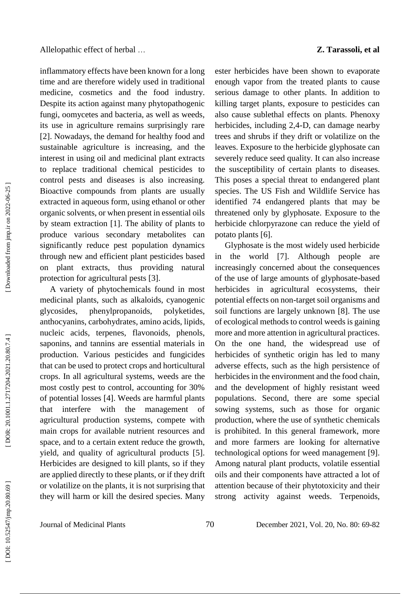inflammatory effects have been known for a long time and are therefore widely used in traditional medicine, cosmetics and the food industry. Despite its action against many phytopathogenic fungi, oomycetes and bacteria, as well as weeds, its use in agriculture remains surprisingly rare [2]. Nowadays, the demand for healthy food and sustainable agriculture is increasing, and the interest in using oil and medicinal plant extracts to replace traditional chemical pesticides to control pests and diseases is also increasing. Bioactive compounds from plants are usually extracted in aqueous form, using ethanol or other organic solvents, or when present in essential oils by steam extraction [1]. The ability of plants to produce various secondary metabolites can significantly reduce pest population dynamics through new and efficient plant pesticides based on plant extracts, thus providing natural protection for agricultural pests [3].

A variety of phytochemicals found in most medicinal plants, such as alkaloids, cyanogenic glycosides, phenylpropanoids, polyketides, anthocyanins, carbohydrates, amino acids, lipids, nucleic acids, terpenes, flavonoids, phenols, saponins, and tannins are essential materials in production. Various pesticides and fungicides that can be used to protect crops and horticultural crops. In all agricultural systems, weeds are the most costly pest to control, accounting for 30% of potential losses [4]. Weeds are harmful plants that interfere with the management of agricultural production systems, compete with main crops for available nutrient resources and space, and to a certain extent reduce the growth, yield, and quality of agricultural products [5]. Herbicides are designed to kill plants, so if they are applied directly to these plants, or if they drift or volatilize on the plants, it is not surprising that they will harm or kill the desired species. Many ester herbicides have been shown to evaporate enough vapor from the treated plants to cause serious damage to other plants. In addition to killing target plants, exposure to pesticides can also cause sublethal effects on plants. Phenoxy herbicides, including 2,4 -D, can damage nearby trees and shrubs if they drift or volatilize on the leaves. Exposure to the herbicide glyphosate can severely reduce seed quality. It can also increase the susceptibility of certain plants to diseases. This poses a special threat to endangered plant species. The US Fish and Wildlife Service has identified 74 endangered plants that may be threatened only by glyphosate. Exposure to the herbicide chlorpyrazone can reduce the yield of potato plants [6].

Glyphosate is the most widely used herbicide in the world [7]. Although people are increasingly concerned about the consequences of the use of large amounts of glyphosate -based herbicides in agricultural ecosystems, their potential effects on non -target soil organisms and soil functions are largely unknown [8]. The use of ecological methods to control weeds is gaining more and more attention in agricultural practices. On the one hand, the widespread use of herbicides of synthetic origin has led to many adverse effects, such as the high persistence of herbicides in the environment and the food chain, and the development of highly resistant weed populations. Second, there are some special sowing systems, such as those for organic production, where the use of synthetic chemicals is prohibited. In this general framework, more and more farmers are looking for alternative technological options for weed management [9]. Among natural plant products, volatile essential oils and their components have attracted a lot of attention because of their phytotoxicity and their strong activity against weeds . Terpenoids,

Downloaded from jmp.ir on 2022-06-25

Journal of Medicinal Plants 70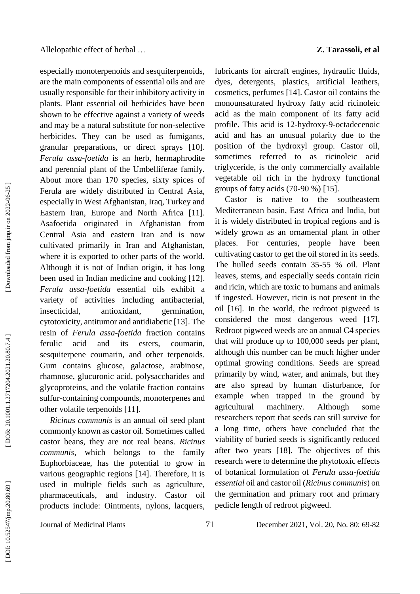especially monoterpenoids and sesquiterpenoids, are the main components of essential oils and are usually responsible for their inhibitory activity in plants. Plant essential oil herbicides have been shown to be effective against a variety of weeds and may be a natural substitute for non -selective herbicides. They can be used as fumigants, granular preparations, or direct sprays [10]. *Ferula assa -foetida* is an herb, hermaphrodite and perennial plant of the Umbelliferae family. About more than 170 species, sixty spices of Ferula are widely distributed in Central Asia, especially in West Afghanistan, Iraq, Turkey and Eastern Iran, Europe and North Africa [11]. Asafoetida originated in Afghanistan from Central Asia and eastern Iran and is now cultivated primarily in Iran and Afghanistan, where it is exported to other parts of the world. Although it is not of Indian origin, it has long been used in Indian medicine and cooking [12]. *Ferula assa -foetida* essential oils exhibit a variety of activities including antibacterial, insecticidal, antioxidant, germination, cytotoxicity, antitumor and antidiabetic [13]. The resin of *Ferula assa -foetida* fraction contains ferulic acid and its esters, coumarin, sesquiterpene coumarin, and other terpenoids. Gum contains glucose, galactose, arabinose, rhamnose, glucuronic acid, polysaccharides and glycoproteins, and the volatile fraction contains sulfur -containing compounds, monoterpenes and other volatile terpenoids [11].

*Ricinus communis* is an annual oil seed plant commonly known as castor oil. Sometimes called castor beans, they are not real beans. *Ricinus communis*, which belongs to the family Euphorbiaceae, has the potential to grow in various geographic regions [14]. Therefore, it is used in multiple fields such as agriculture, pharmaceuticals, and industry. Castor oil products include: Ointments, nylons, lacquers,

lubricants for aircraft engines, hydraulic fluids, dyes, detergents, plastics, artificial leathers, cosmetics, perfumes [14]. Castor oil contains the monounsaturated hydroxy fatty acid ricinoleic acid as the main component of its fatty acid profile. This acid is 12 -hydroxy - 9 -octadecenoic acid and has an unusual polarity due to the position of the hydroxyl group. Castor oil, sometimes referred to as ricinoleic acid triglyceride, is the only commercially available vegetable oil rich in the hydroxy functional groups of fatty acids (70 -90 %) [15].

Castor is native to the southeastern Mediterranean basin, East Africa and India, but it is widely distributed in tropical regions and is widely grown as an ornamental plant in other places. For centuries, people have been cultivating castor to get the oil stored in its seeds. The hulled seeds contain 35 -55 % oil. Plant leaves, stems, and especially seeds contain ricin and ricin, which are toxic to humans and animals if ingested. However, ricin is not present in the oil [16]. In the world, the redroot pigweed is considered the most dangerous weed [17]. Redroot pigweed weeds are an annual C4 species that will produce up to 100,000 seeds per plant, although this number can be much higher under optimal growing conditions. Seeds are spread primarily by wind, water, and animals, but they are also spread by human disturbance, for example when trapped in the ground by agricultural machinery. Although some researchers report that seeds can still survive for a long time, others have concluded that the viability of buried seeds is significantly reduced after two years [18]. The objectives of this research were to determine the phytotoxic effects of botanical formulation of *Ferula as s a -foetida essential* oil and castor oil (*Ricinus communis*) on the germination and primary root and primary pedicle length of redroot pigweed.

Journal of Medicinal Plants 71

1, Vol. 20, No. 80: 69 - 8 2

DOR: 20.1001.1.2717204.2021.20.80.7.4]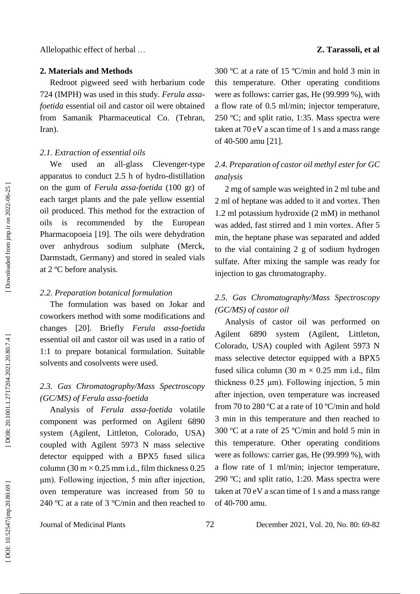### **2. Materials and Methods**

Redroot pigweed seed with herbarium code 724 (IMPH) was used in this study. *Ferula assa foetida* essential oil and castor oil were obtained from Samanik Pharmaceutical Co. (Tehran, Iran).

## *2.1. Extraction of essential oils*

We used an all-glass -glass Clevenger-type apparatus to conduct 2.5 h of hydro -distillation on the gum of *Ferula assa -foetida* (100 gr) of each target plants and the pale yellow essential oil produced. This method for the extraction of oils is recommended by the European Pharmacopoeia [19]. The oils were dehydration over anhydrous sodium sulphate (Merck, Darmstadt, Germany) and stored in sealed vials at 2 ºC before analysis.

#### *2.2. Preparation botanical formulation*

The formulation was based on Jokar and coworkers method with some modifications and changes [20]. Briefly *Ferula assa -foetida* essential oil and castor oil was used in a ratio of 1:1 to prepare botanical formulation. Suitable solvents and cosolvents were used.

## *2. 3. Gas Chromatography/Mass Spectroscopy (GC/MS) of Ferula assa -foetida*

Analysis of *Ferula assa -foetida* volatile component was performed on Agilent 6890 system (Agilent, Littleton, Colorado, USA) coupled with Agilent 5973 N mass selective detector equipped with a BPX5 fused silica column (30 m  $\times$  0.25 mm i.d., film thickness 0.25 μm). Following injection, 5 min after injection, oven temperature was increased from 50 to 240 ºC at a rate of 3 ºC/min and then reached to

300 ºC at a rate of 15 ºC/min and hold 3 min in this temperature. Other operating conditions were as follows: carrier gas, He (99.999 %), with a flow rate of 0.5 ml/min; injector temperature, 250 ºC; and split ratio, 1:35. Mass spectra were taken at 70 eV a scan time of 1 s and a mass range of 40 -500 amu [21].

## *2. 4. Preparation of castor oil methyl ester for GC analysis*

2 mg of sample was weighted in 2 ml tube and 2 ml of heptane was added to it and vortex. Then 1.2 ml potassium hydroxide (2 mM) in methanol was added, fast stirred and 1 min vortex. After 5 min, the heptane phase was separated and added to the vial containing 2 g of sodium hydrogen sulfate. After mixing the sample was ready for injection to gas chromatography.

## *2. 5. Gas Chromatography/Mass Spectroscopy (GC/MS) of castor o i l*

Analysis of castor oil was performed on Agilent 6890 system (Agilent, Littleton, Colorado, USA) coupled with Agilent 5973 N mass selective detector equipped with a BPX5 fused silica column (30 m  $\times$  0.25 mm i.d., film thickness 0.25 μm). Following injection, 5 min after injection, oven temperature was increased from 70 to 280 ºC at a rate of 10 ºC/min and hold 3 min in this temperature and then reached to 300 ºC at a rate of 25 ºC/min and hold 5 min in this temperature. Other operating conditions were as follows: carrier gas, He (99.999 %), with a flow rate of 1 ml/min; injector temperature, 290 ºC; and split ratio, 1:20. Mass spectra were taken at 70 eV a scan time of 1 s and a mass range of 40 -700 amu.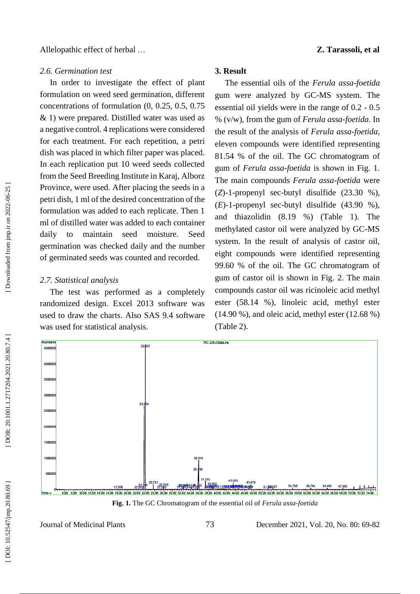#### *2.6. Germination test*

In order to investigate the effect of plant formulation on weed seed germination, different concentrations of formulation (0, 0.25, 0.5, 0.75 & 1) were prepared. Distilled water was used as a negative control. 4 replications were considered for each treatment. For each repetition, a petri dish was placed in which filter paper was placed. In each replication put 10 weed seeds collected from the Seed Breeding Institute in Karaj, Alborz Province, were used. After placing the seeds in a petri dish, 1 ml of the desired concentration of the formulation was added to each replicate. Then 1 ml of distilled water was added to each container daily to maintain seed moisture. Seed germination was checked daily and the number of germinated seeds was counted and recorded.

#### *2.7. Statistical analysis*

**Mundan** 

The test was performed as a completely randomized design. Excel 2013 software was used to draw the charts. Also SAS 9.4 software was used for statistical analysis.

## **3. Result**

The essential oils of the *Ferula assa -foetida* gum were analyzed by GC -MS system. The essential oil yields were in the range of 0.2 - 0.5 % (v/w), from the gum of *Ferula assa -foetida.* In the result of the analysis of *Ferula assa -foetida*, eleven compounds were identified representing 81.54 % of the oil. The GC chromatogram of gum of *Ferula assa -foetida* is shown in Fig. 1. The main compounds *Ferula assa -foetida* were ( *Z*) - 1 - propenyl sec -butyl disulfide (23.30 %),  $(E)$ -1-propenyl sec-butyl disulfide  $(43.90\%),$ and thiazolidin (8.19 %) (Table 1). The methylated castor oil were analyzed by GC -MS system. In the result of analysis of castor oil, eight compounds were identified representing 99.60 % of the oil. The GC chromatogram of gum of castor oil is shown in Fig . 2. The main compounds castor oil was ricinoleic acid methyl ester (58.14 %), linoleic acid, methyl ester (14.90 %), and oleic acid, methyl ester (12.68 %) (Table 2).



**Fig . 1.** The GC Chromatogram of the essential oil of *Ferula assa -foetida*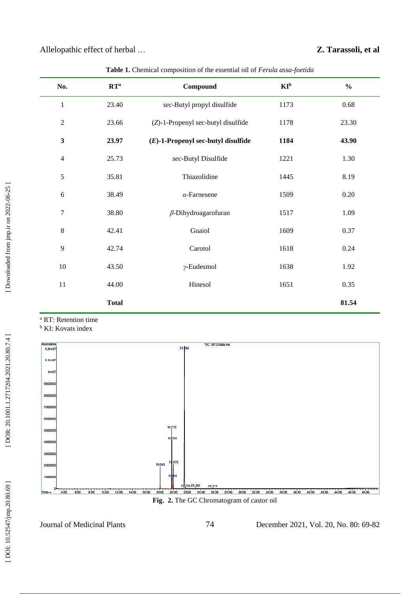| No.              | $\mathbf{R}\mathbf{T}^{\mathrm{a}}$ | Compound                              | $KI^b$ | $\frac{0}{0}$ |
|------------------|-------------------------------------|---------------------------------------|--------|---------------|
| $\mathbf{1}$     | 23.40                               | sec-Butyl propyl disulfide            | 1173   | 0.68          |
| $\overline{2}$   | 23.66                               | (Z)-1-Propenyl sec-butyl disulfide    | 1178   | 23.30         |
| $\mathbf{3}$     | 23.97                               | $(E)$ -1-Propenyl sec-butyl disulfide | 1184   | 43.90         |
| $\overline{4}$   | 25.73                               | sec-Butyl Disulfide                   | 1221   | 1.30          |
| $\sqrt{5}$       | 35.81                               | Thiazolidine                          | 1445   | 8.19          |
| $\sqrt{6}$       | 38.49                               | $\alpha$ -Farnesene                   | 1509   | $0.20\,$      |
| $\boldsymbol{7}$ | 38.80                               | $\beta$ -Dihydroagarofuran            | 1517   | 1.09          |
| $\,8\,$          | 42.41                               | Guaiol                                | 1609   | 0.37          |
| 9                | 42.74                               | Carotol                               | 1618   | 0.24          |
| $10\,$           | 43.50                               | $\nu$ -Eudesmol                       | 1638   | 1.92          |
| 11               | 44.00                               | Hinesol                               | 1651   | 0.35          |
|                  | <b>Total</b>                        |                                       |        | 81.54         |

**Table 1.** Chemical composition of the essential oil of *Ferula assa -foetida*

<sup>a</sup> RT: Retention time

**b** KI: Kovats index



**Fig . 2.** The GC Chromatogram of castor oil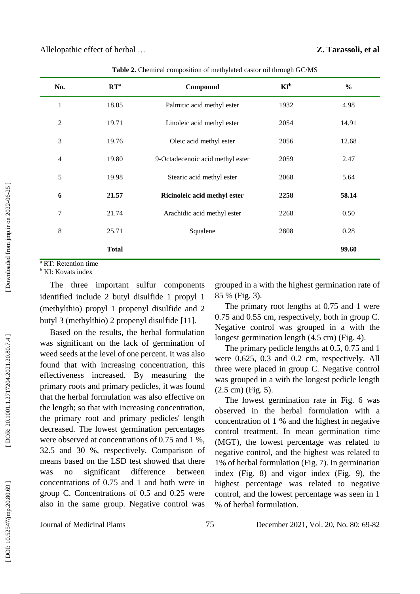| No.            | $\mathbf{R}\mathbf{T}^{\mathrm{a}}$ | Compound                         | $KI_p$ | $\frac{6}{6}$ |
|----------------|-------------------------------------|----------------------------------|--------|---------------|
| $\mathbf{1}$   | 18.05                               | Palmitic acid methyl ester       | 1932   | 4.98          |
| 2              | 19.71                               | Linoleic acid methyl ester       | 2054   | 14.91         |
| 3              | 19.76                               | Oleic acid methyl ester          | 2056   | 12.68         |
| $\overline{4}$ | 19.80                               | 9-Octadecenoic acid methyl ester | 2059   | 2.47          |
| 5              | 19.98                               | Stearic acid methyl ester        | 2068   | 5.64          |
| 6              | 21.57                               | Ricinoleic acid methyl ester     | 2258   | 58.14         |
| 7              | 21.74                               | Arachidic acid methyl ester      | 2268   | 0.50          |
| 8              | 25.71                               | Squalene                         | 2808   | 0.28          |
|                | <b>Total</b>                        |                                  |        | 99.60         |
|                |                                     |                                  |        |               |

**Table 2.** Chemical composition of methylated castor oil through GC /MS

<sup>a</sup> RT: Retention time

**b** KI: Kovats index

The three important sulfur components identified include 2 butyl disulfide 1 propyl 1 (methylthio) propyl 1 propenyl disulfide and 2 butyl 3 (methylthio) 2 propenyl disulfide [11] .

Based on the results, the herbal formulation was significant on the lack of germination of weed seeds at the level of one percent. It was also found that with increasing concentration, this effectiveness increased. By measuring the primary roots and primary pedicles, it was found that the herbal formulation was also effective on the length; so that with increasing concentration, the primary root and primary pedicles' length decreased. The lowest germination percentages were observed at concentrations of 0.75 and 1 %, 32.5 and 30 %, respectively. Comparison of means based on the LSD test showed that there was no significant difference between concentrations of 0.75 and 1 and both were in group C. Concentrations of 0.5 and 0.25 were also in the same group. Negative control was

grouped in a with the highest germination rate of 85 % (Fig. 3) .

The primary root lengths at 0.75 and 1 were 0.75 and 0.55 cm, respectively, both in group C. Negative control was grouped in a with the longest germination length (4.5 cm) (Fig. 4).

The primary pedicle lengths at 0.5, 0.75 and 1 were 0.625, 0.3 and 0.2 cm, respectively. All three were placed in group C. Negative control was grouped in a with the longest pedicle length (2.5 cm) (Fig. 5).

The lowest germination rate in Fig. 6 was observed in the herbal formulation with a concentration of 1 % and the highest in negative control treatment. In mean germination time (MGT), the lowest percentage was related to negative control, and the highest was related to 1% of herbal formulation (Fig. 7). In germination index (Fig. 8) and vigor index (Fig. 9), the highest percentage was related to negative control, and the lowest percentage was seen in 1 % of herbal formulation.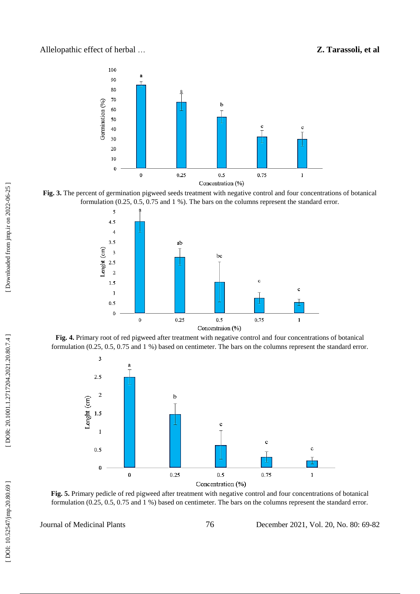## … **Z. Tarassoli, et al**











**Fig. 5.** Primary pedicle of red pigweed after treatment with negative control and four concentrations of botanical formulation (0.25, 0.5, 0.75 and 1 %) based on centimeter. The bars on the columns represent the standard error.

Journal of Medicinal Plants 76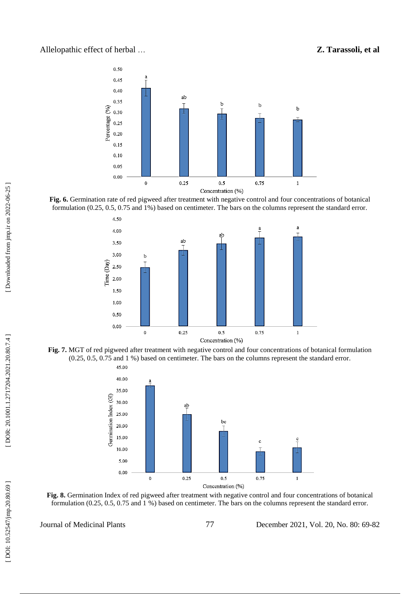## Allelopathic effect of herbal

## … **Z. Tarassoli, et al**



**Fig. 6.** Germination rate of red pigweed after treatment with negative control and four concentrations of botanical formulation (0.25, 0.5, 0.75 and 1%) based on centimeter. The bars on the columns represent the standard error.



**Fig. 7.** MGT of red pigweed after treatment with negative control and four concentrations of botanical formulation (0.25, 0.5, 0.75 and 1 %) based on centimeter. The bars on the columns represent the standard error.



**Fig. 8.** Germination Index of red pigweed after treatment with negative control and four concentrations of botanical formulation (0.25, 0.5, 0.75 and 1 %) based on centimeter. The bars on the columns represent the standard error.

Journal of Medicinal Plants 77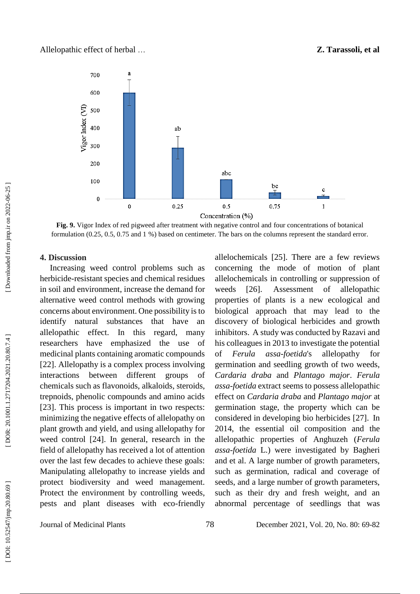

**Fig. 9.** Vigor Index of red pigweed after treatment with negative control and four concentrations of botanical formulation (0.25, 0.5, 0.75 and 1 %) based on centimeter. The bars on the columns represent the standard error.

#### **4. Discussion**

Increasing weed control problems such as herbicide -resistant species and chemical residues in soil and environment , increas e the demand for alternative weed control methods with growing concerns about environment. One possibility is to identify natural substances that have an allelopathic effect. In this regard, many researchers have emphasized the use of medicinal plants containing aromatic compounds [22]. Allelopathy is a complex process involving interactions between different groups of chemicals such as flavonoids, alkaloids, steroids, trepnoids, phenolic compounds and amino acids [23]. This process is important in two respects: minimizing the negative effects of allelopathy on plant growth and yield, and using allelopathy for weed control [24]. In general, research in the field of allelopathy has received a lot of attention over the last few decades to achieve these goals: Manipulating allelopathy to increase yields and protect biodiversity and weed management. Protect the environment by controlling weeds, pests and plant diseases with eco -friendly allelochemicals [25]. There are a few reviews concerning the mode of motion of plant allelochemicals in controlling or suppression of weeds [26]. . Assessment of allelopathic properties of plants is a new ecological and biological approach that may lead to the discovery of biological herbicides and growth inhibitors. A study was conducted by Razavi and his colleagues in 2013 to investigate the potential of *Ferula a* assa-foetida's allelopathy for germination and seedling growth of two weeds, *Cardaria draba* and *Plantago major*. *Ferula assa-foetida* extract seems to possess allelopathic effect on *Cardaria draba* and *Plantago major* at germination stage, the property which can be considered in developing bio herbicides [27] . In 2014, the essential oil composition and the allelopathic properties of Anghuzeh (*Ferula assa -foetida* L.) were investigated by Bagheri and et al. A large number of growth parameters, such as germination, radical and coverage of seeds, and a large number of growth parameters, such as their dry and fresh weight, and an abnormal percentage of seedlings that was

Journal of Medicinal Plants 78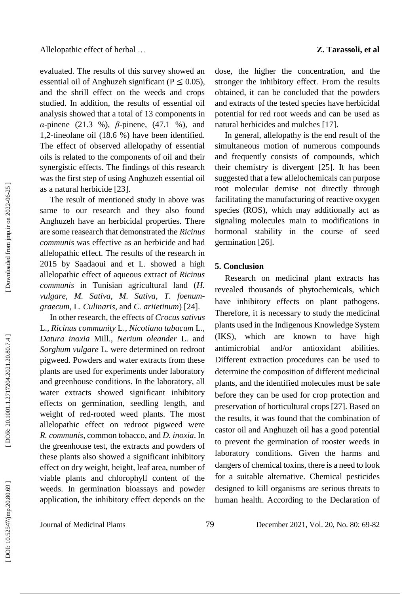evaluated. The results of this survey showed an essential oil of Anghuzeh significant ( $P \le 0.05$ ), and the shrill effect on the weeds and crops studied. In addition, the results of essential oil analysis showed that a total of 13 components in *α*-pinene (21.3 %), *β*-pinene, (47.1 %), and 1,2 - tineolane oil (18.6 %) have been identified. The effect of observed allelopathy of essential oils is related to the components of oil and their synergistic effects. The findings of this research was the first step of using Anghuzeh essential oil as a natural herbicide [23] .

The result of mentioned study in above was same to our research and they also found Anghuzeh have an herbicidal properties. There are some reasearch that demonstrated the *Ricinus communis* was effective as an herbicide and had allelopathic effect. The results of the research in 2015 by Saadaoui and et L. showed a high allelopathic effect of aqueous extract of *Ricinus communis* in Tunisian agricultural land (*H. vulgare*, *M. Sativa*, *M. Sativa*, *T. foenumgraecum*, L*. Culinaris*, and *C. ariietinum*) [24].

In other research, the effects of *Crocus sativus* L., *Ricinus community* L., *Nicotiana tabacum* L., *Datura inoxia* Mill., *Nerium oleander* L. and *Sorghum vulgare* L. were determined on redroot pigweed. Powders and water extracts from these plants are used for experiments under laboratory and greenhouse conditions. In the laboratory, all water extracts showed significant inhibitory effects on germination, seedling length, and weight of red -rooted weed plants. The most allelopathic effect on redroot pigweed were *R. communis*, common tobacco, and *D. inoxia*. In the greenhouse test, the extracts and powders of these plants also showed a significant inhibitory effect on dry weight, height, leaf area, number of viable plants and chlorophyll content of the weeds. In germination bioassays and powder application, the inhibitory effect depends on the

dose, the higher the concentration, and the stronger the inhibitory effect. From the results obtained, it can be concluded that the powders and extracts of the tested species have herbicidal potential for red root weeds and can be used as natural herbicides and mulches [17] .

In general, allelopathy is the end result of the simultaneous motion of numerous compounds and frequently consists of compounds, which their chemistry is divergent [25] . It has been suggested that a few allelochemicals can purpose root molecular demise not directly through facilitating the manufacturing of reactive oxygen species (ROS), which may additionally act as signaling molecules main to modifications in hormonal stability in the course of seed germination [26] .

## **5. Conclusion**

Research on medicinal plant extracts has revealed thousands of phytochemicals, which have inhibitory effects on plant pathogens. Therefore, it is necessary to study the medicinal plants used in the Indigenous Knowledge System (IKS), which are known to have high antimicrobial and/or antioxidant abilities. Different extraction procedures can be used to determine the composition of different medicinal plants, and the identified molecules must be safe before they can be used for crop protection and preservation of horticultural crops [27]. Based on the results, it was found that the combination of castor oil and Anghuzeh oil has a good potential to prevent the germination of rooster weeds in laboratory conditions. Given the harms and dangers of chemical toxins, there is a need to look for a suitable alternative. Chemical pesticides designed to kill organisms are serious threats to human health. According to the Declaration of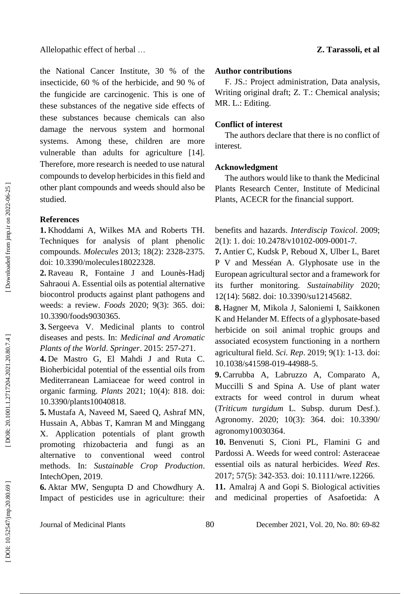the National Cancer Institute, 30 % of the insecticide, 60 % of the herbicide, and 90 % of the fungicide are carcinogenic. This is one of these substances of the negative side effects of these substances because chemicals can also damage the nervous system and hormonal systems. Among these, children are more vulnerable than adults for agriculture [14]. Therefore, more research is needed to use natural compounds to develop herbicides in this field and other plant compounds and weeds should also be studied.

### **References**

**1.** Khoddami A, Wilkes MA and Roberts TH. Techniques for analysis of plant phenolic compounds. *Molecules* 2013; 18(2): 2328 -2375. doi: 10.3390/molecules18022328.

2. Raveau R, Fontaine J and Lounès-Hadj Sahraoui A. Essential oils as potential alternative biocontrol products against plant pathogens and weeds: a review. *Foods* 2020; 9(3): 365. doi: 10.3390/foods9030365.

**3.** Sergeeva V. Medicinal plants to control diseases and pests. In: *Medicinal and Aromatic Plants of the World*. *Springer* . 2015: 257 -271.

**4 .** De Mastro G, El Mahdi J and Ruta C. Bioherbicidal potential of the essential oils from Mediterranean Lamiaceae for weed control in organic farming. *Plants* 2021; 10(4): 818. doi: [10.3390/plants10040818](https://doi.org/10.3390/plants10040818) .

**5 .** Mustafa A, Naveed M, Saeed Q, Ashraf MN, Hussain A, Abbas T, Kamran M and Minggang X. Application potentials of plant growth promoting rhizobacteria and fungi as an alternative to conventional weed control methods. In: *Sustainable Crop Production*. IntechOpen , 2019.

**6 .** Aktar MW, Sengupta D and Chowdhury A. Impact of pesticides use in agriculture: their

## **Author contributions**

F. JS.: Project administration, Data analysis, Writing original draft; Z. T.: Chemical analysis; MR. L.: Editing.

## **Conflict of interest**

The authors declare that there is no conflict of interest.

## **Acknowledgment**

The authors would like to thank the Medicinal Plants Research Center, Institute of Medicinal Plants, ACECR for the financial support.

benefits and hazards. *Interdiscip Toxicol*. 2009; 2(1): 1. doi: 10.2478/v10102-009-0001-7.

**7.** Antier C, Kudsk P, Reboud X, Ulber L, Baret P V and Messéan A. Glyphosate use in the European agricultural sector and a framework for its further monitoring. *Sustainability* 2020; 12(14): 5682. doi: [10.3390/su12145682](https://doi.org/10.3390/su12145682) .

**8 .** Hagner M, Mikola J, Saloniemi I, Saikkonen K and Helander M. Effects of a glyphosate -based herbicide on soil animal trophic groups and associated ecosystem functioning in a northern agricultural field. *Sci . Rep*. 2019; 9(1): 1 -13. doi: [10.1038/s41598](https://doi.org/10.1038/s41598-019-44988-5) -019 -44988 - 5 .

**9 .** Carrubba A, Labruzzo A, Comparato A, Muccilli S and Spina A. Use of plant water extracts for weed control in durum wheat (*Triticum turgidum* L. Subsp. durum Desf.). Agronomy. 2020; 10(3): 364. doi: [10.3390/](https://doi.org/10.3390/agronomy10030364)  [agronomy10030364](https://doi.org/10.3390/agronomy10030364) .

**10 .** Benvenuti S, Cioni PL, Flamini G and Pardossi A. Weeds for weed control: Asteraceae essential oils as natural herbicides. *Weed Res*. 2017; 57(5): 342 -353. doi: [10.1111/wre.12266](https://doi.org/10.1111/wre.12266) .

**11 .** Amalraj A and Gopi S. Biological activities and medicinal properties of Asafoetida: A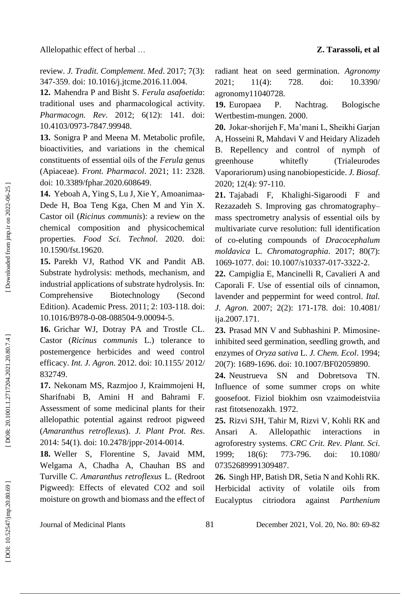review. *J. Tradit . Complement . Med*. 2017; 7(3): 347 -359. doi: [10.1016/j.jtcme.2016.11.004](https://doi.org/10.1016/j.jtcme.2016.11.004) .

**12 .** Mahendra P and Bisht S. *Ferula asafoetida*: traditional uses and pharmacological activity. *Pharmacogn . Rev*. 2012; 6(12): 141. doi: [10.4103/0973](https://dx.doi.org/10.4103%2F0973-7847.99948) -7847.99948 .

**13 .** Sonigra P and Meena M. Metabolic profile, bioactivities, and variations in the chemical constituents of essential oils of the *Ferula* genus (Apiaceae). *Front . Pharmacol*. 2021; 11: 2328. doi: [10.3389/fphar.2020.608649](https://doi.org/10.3389/fphar.2020.608649) .

14. Yeboah A, Ying S, Lu J, Xie Y, Amoanimaa-Dede H, Boa Teng Kga, Chen M and Yin X. Castor oil (*Ricinus communis*): a review on the chemical composition and physicochemical properties. *Food Sci . Technol*. 2020. doi: [10.1590/fst.19620](https://doi.org/10.1590/fst.19620) .

**15 .** Parekh VJ, Rathod VK and Pandit AB. Substrate hydrolysis: methods, mechanism, and industrial applications of substrate hydrolysis. In: [Comprehensive Biotechnology \(Second](https://www.sciencedirect.com/science/referenceworks/9780080885049)  [Edition\).](https://www.sciencedirect.com/science/referenceworks/9780080885049) Academic Press. 2011; 2: 103 -118 . doi: [10.1016/B978](http://dx.doi.org/10.1016/B978-0-08-088504-9.00094-5)-0-08-088504-9.00094-5.

**16 .** Grichar WJ, Dotray PA and Trostle CL. Castor (*Ricinus communis* L.) tolerance to postemergence herbicides and weed control efficacy. *Int . J. Agron*. 2012. doi: [10.1155/](https://doi.org/10.1155/2012/832749) 2012/ [832749](https://doi.org/10.1155/2012/832749) .

**17 .** Nekonam MS, Razmjoo J, Kraimmojeni H, Sharifnabi B, Amini H and Bahrami F. Assessment of some medicinal plants for their allelopathic potential against redroot pigweed (*Amaranthus retroflexus*). *J. Plant Prot. Res*. 2014: 54(1) . doi: 10.2478/jppr -2014 -0014 .

**18 .** Weller S, Florentine S, Javaid MM, Welgama A, Chadha A, Chauhan BS and Turville C. *Amaranthus retroflexus* L. (Redroot Pigweed): Effects of elevated CO2 and soil moisture on growth and biomass and the effect of

radiant heat on seed germination. *Agronomy* 2021; 11(4): 728. doi: [10.3390/](https://doi.org/10.3390/agronomy11040728)  [agronomy11040728](https://doi.org/10.3390/agronomy11040728) .

**19** P. Nachtrag. Bologische Wertbestim -mungen. 2000.

**20 .** Jokar -shorijeh F, Ma'mani L, Sheikhi Garjan A, Hosseini R, Mahdavi V and Heidary Alizadeh B. Repellency and control of nymph of greenhouse whitefly (Trialeurodes Vaporariorum) using nanobiopesticide. *J. Biosaf*. 2020; 12(4): 97 -110.

**21 .** Tajabadi F, Khalighi -Sigaroodi F and Rezazadeh S. Improving gas chromatography – mass spectrometry analysis of essential oils by multivariate curve resolution: full identification of c o -eluting compounds of *Dracocephalum moldavica* L. *Chromatographia*. 2017; 8 0(7): 1069 -1077. doi: [10.1007/s10337](https://doi.org/10.1007/s10337-017-3322-2) -017 -3322 - 2 .

**22 .** Campiglia E, Mancinelli R, Cavalieri A and Caporali F. Use of essential oils of cinnamon, lavender and peppermint for weed control. *Ital . J. Agron*. 2007; 2(2): 171 -178. doi: [10.4081/](https://doi.org/10.4081/ija.2007.171) [ija.2007.171](https://doi.org/10.4081/ija.2007.171) .

**23 .** Prasad MN V and Subhashini P. Mimosine inhibited seed germination, seedling growth, and enzymes of *Oryza sativa* L. *J. Chem . Ecol*. 1994; 20(7): 1689 -1696. doi: [10.1007/BF02059890](https://doi.org/10.1007/BF02059890) .

**24 .** Neustrueva SN and Dobretsova TN. Influence of some summer crops on white goosefoot. Fiziol biokhim osn vzaimodeistviia rast fitotsenozakh. 1972.

**25 .** Rizvi SJH, Tahir M, Rizvi V, Kohli RK and Ansari A. Allelopathic interactions in agroforestry systems. *CRC Crit . Rev . Plant . Sci*. 1999; 18(6); 773-796. doi: 10.1080/ [07352689991309487](https://doi.org/10.1080/07352689991309487) .

**26 .** Singh HP, Batish DR, Setia N and Kohli RK. Herbicidal activity of volatile oils from Eucalyptus citriodora against *Parthenium* 

Journal of Medicinal Plants 81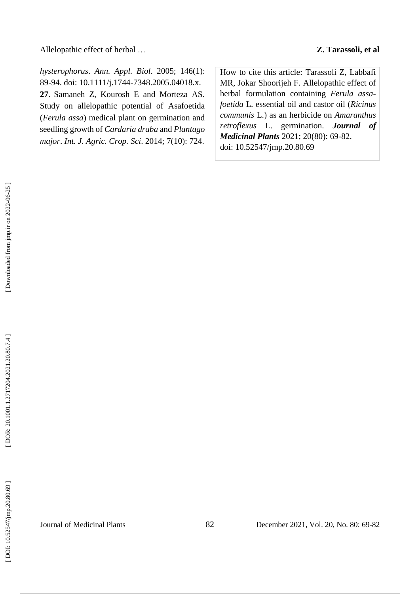Allelopathic effect of herbal …

*hysterophorus*. *Ann . Appl . Biol*. 2005; 146(1): 89 -94. doi: 10.1111/j.1744 [-7348.2005.04018.x](https://doi.org/10.1111/j.1744-7348.2005.04018.x) . **27 .** Samaneh Z, Kourosh E and Morteza AS. Study on allelopathic potential of Asafoetida (*Ferula assa*) medical plant on germination and seedling growth of *Cardaria draba* and *Plantago major*. *Int . J. Agric . Crop . Sci*. 2014; 7(10): 724.

How to cite this article: Tarassoli Z, Labbafi MR, Jokar Shoorijeh F. Allelopathic effect of herbal formulation containing *Ferula assa foetida* L. essential oil and castor oil (*Ricinus communis* L.) as an herbicide on *Amaranthus retroflexus* L. germination . *Journal of Medicinal Plants* 2021; 20(80): 69 -82. doi: [10.52547/jmp.20.80.69](http://dx.doi.org/10.52547/jmp.20.80.69)